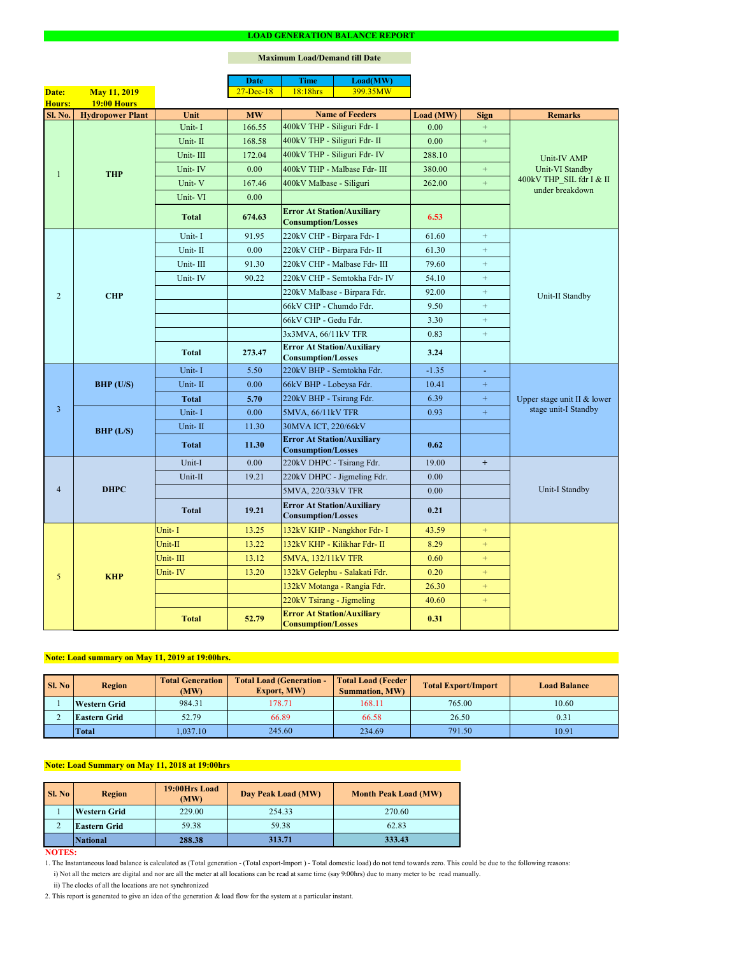#### **NOTES:**

2. This report is generated to give an idea of the generation & load flow for the system at a particular instant.

### **Maximum Load/Demand till Date**

ii) The clocks of all the locations are not synchronized

1. The Instantaneous load balance is calculated as (Total generation - (Total export-Import ) - Total domestic load) do not tend towards zero. This could be due to the following reasons:

| SI. No | <b>Region</b>       | <b>Total Generation</b><br>(MW) | <b>Total Load (Generation -</b><br><b>Export, MW)</b> | <b>Total Load (Feeder)</b><br><b>Summation, MW)</b> | <b>Total Export/Import</b> | <b>Load Balance</b> |
|--------|---------------------|---------------------------------|-------------------------------------------------------|-----------------------------------------------------|----------------------------|---------------------|
|        | <b>Western Grid</b> | 984.31                          | 178.71                                                | 168.11                                              | 765.00                     | 10.60               |
|        | <b>Eastern Grid</b> | 52.79                           | 66.89                                                 | 66.58                                               | 26.50                      | 0.31                |
|        | <b>Total</b>        | 1,037.10                        | 245.60                                                | 234.69                                              | 791.50                     | 10.91               |

|                |                         |              | <b>Date</b>   | <b>Time</b>                                                    | Load(MW)                      |           |                  |                                             |  |
|----------------|-------------------------|--------------|---------------|----------------------------------------------------------------|-------------------------------|-----------|------------------|---------------------------------------------|--|
| Date:          | <b>May 11, 2019</b>     |              | $27 - Dec-18$ | 18:18hrs                                                       | 399.35MW                      |           |                  |                                             |  |
| Hours:         | <b>19:00 Hours</b>      |              |               |                                                                |                               |           |                  |                                             |  |
| <b>Sl. No.</b> | <b>Hydropower Plant</b> | Unit         | <b>MW</b>     |                                                                | <b>Name of Feeders</b>        | Load (MW) | <b>Sign</b>      | <b>Remarks</b>                              |  |
|                |                         | Unit-I       | 166.55        | 400kV THP - Siliguri Fdr- I                                    |                               | 0.00      | $+$              |                                             |  |
|                |                         | Unit-II      | 168.58        | 400kV THP - Siliguri Fdr- II                                   |                               | 0.00      | $+$              |                                             |  |
|                |                         | Unit-III     | 172.04        |                                                                | 400kV THP - Siliguri Fdr- IV  | 288.10    |                  | Unit-IV AMP                                 |  |
|                | <b>THP</b>              | Unit-IV      | 0.00          |                                                                | 400kV THP - Malbase Fdr- III  | 380.00    | $+$              | Unit-VI Standby                             |  |
|                |                         | Unit-V       | 167.46        | 400kV Malbase - Siliguri                                       |                               | 262.00    | $+$              | 400kV THP_SIL fdr I & II<br>under breakdown |  |
|                |                         | Unit-VI      | 0.00          |                                                                |                               |           |                  |                                             |  |
|                |                         | <b>Total</b> | 674.63        | <b>Error At Station/Auxiliary</b><br><b>Consumption/Losses</b> |                               | 6.53      |                  |                                             |  |
|                |                         | Unit-I       | 91.95         | 220kV CHP - Birpara Fdr- I                                     |                               | 61.60     | $+$              |                                             |  |
|                |                         | Unit-II      | 0.00          |                                                                | 220kV CHP - Birpara Fdr- II   | 61.30     | $+$              |                                             |  |
|                |                         | Unit-III     | 91.30         |                                                                | 220kV CHP - Malbase Fdr- III  | 79.60     | $+$              |                                             |  |
|                |                         | Unit-IV      | 90.22         |                                                                | 220kV CHP - Semtokha Fdr- IV  | 54.10     | $\boldsymbol{+}$ |                                             |  |
| $\overline{2}$ | <b>CHP</b>              |              |               |                                                                | 220kV Malbase - Birpara Fdr.  | 92.00     | $+$              | Unit-II Standby                             |  |
|                |                         |              |               | 66kV CHP - Chumdo Fdr.                                         |                               | 9.50      | $+$              |                                             |  |
|                |                         |              |               | 66kV CHP - Gedu Fdr.                                           |                               | 3.30      | $+$              |                                             |  |
|                |                         |              |               | 3x3MVA, 66/11kV TFR                                            |                               | 0.83      | $+$              |                                             |  |
|                |                         | <b>Total</b> | 273.47        | <b>Error At Station/Auxiliary</b><br><b>Consumption/Losses</b> |                               | 3.24      |                  |                                             |  |
|                | $BHP$ (U/S)             | Unit-I       | 5.50          | 220kV BHP - Semtokha Fdr.                                      |                               | $-1.35$   | $\omega$         | Upper stage unit II & lower                 |  |
|                |                         | Unit-II      | 0.00          | 66kV BHP - Lobeysa Fdr.                                        |                               | 10.41     | $\boldsymbol{+}$ |                                             |  |
|                |                         | Total        | 5.70          | 220kV BHP - Tsirang Fdr.                                       |                               | 6.39      | $+$              |                                             |  |
| $\overline{3}$ |                         | Unit-I       | 0.00          | 5MVA, 66/11kV TFR                                              |                               | 0.93      | $+$              | stage unit-I Standby                        |  |
|                | BHP (L/S)               | Unit-II      | 11.30         | 30MVA ICT, 220/66kV                                            |                               |           |                  |                                             |  |
|                |                         | <b>Total</b> | 11.30         | <b>Error At Station/Auxiliary</b><br><b>Consumption/Losses</b> |                               | 0.62      |                  |                                             |  |
|                | <b>DHPC</b>             | Unit-I       | 0.00          | 220kV DHPC - Tsirang Fdr.                                      |                               | 19.00     | $+$              |                                             |  |
|                |                         | Unit-II      | 19.21         |                                                                | 220kV DHPC - Jigmeling Fdr.   | 0.00      |                  |                                             |  |
| $\overline{4}$ |                         |              |               | 5MVA, 220/33kV TFR                                             |                               | 0.00      |                  | Unit-I Standby                              |  |
|                |                         | <b>Total</b> | 19.21         | <b>Error At Station/Auxiliary</b><br><b>Consumption/Losses</b> |                               | 0.21      |                  |                                             |  |
|                |                         | Unit-I       | 13.25         |                                                                | 132kV KHP - Nangkhor Fdr- I   | 43.59     | $\pm$            |                                             |  |
|                |                         | Unit-II      | 13.22         |                                                                | 132kV KHP - Kilikhar Fdr- II  | 8.29      | $+$              |                                             |  |
|                |                         | Unit-III     | 13.12         | 5MVA, 132/11kV TFR                                             |                               | 0.60      | $+$              |                                             |  |
| 5              | <b>KHP</b>              | Unit-IV      | 13.20         |                                                                | 132kV Gelephu - Salakati Fdr. | 0.20      | $+$              |                                             |  |
|                |                         |              |               |                                                                | 132kV Motanga - Rangia Fdr.   | 26.30     | $+$              |                                             |  |
|                |                         |              |               | 220kV Tsirang - Jigmeling                                      |                               | 40.60     | $+$              |                                             |  |
|                |                         | <b>Total</b> | 52.79         | <b>Error At Station/Auxiliary</b><br><b>Consumption/Losses</b> |                               | 0.31      |                  |                                             |  |

| <b>Sl. No</b> | 19:00Hrs Load<br><b>Region</b><br>(MW) |        | Day Peak Load (MW) | <b>Month Peak Load (MW)</b> |
|---------------|----------------------------------------|--------|--------------------|-----------------------------|
|               | <b>Western Grid</b>                    | 229.00 | 254.33             | 270.60                      |
|               | <b>Eastern Grid</b>                    | 59.38  | 59.38              | 62.83                       |
|               | <b>National</b>                        | 288.38 | 313.71             | 333.43                      |

## **Note: Load summary on May 11, 2019 at 19:00hrs.**

i) Not all the meters are digital and nor are all the meter at all locations can be read at same time (say 9:00hrs) due to many meter to be read manually.

# **Note: Load Summary on May 11, 2018 at 19:00hrs**

#### **LOAD GENERATION BALANCE REPORT**